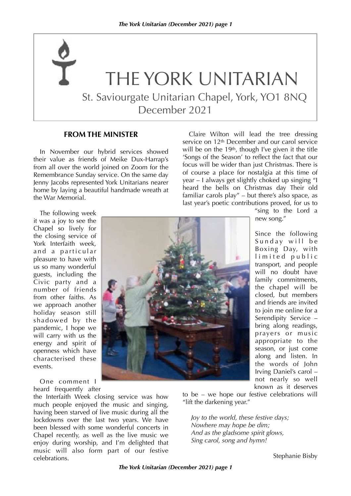# THE YORK UNITARIAN St. Saviourgate Unitarian Chapel, York, YO1 8NQ December 2021

#### **FROM THE MINISTER**

In November our hybrid services showed their value as friends of Meike Dux-Harrap's from all over the world joined on Zoom for the Remembrance Sunday service. On the same day Jenny Jacobs represented York Unitarians nearer home by laying a beautiful handmade wreath at the War Memorial.

Claire Wilton will lead the tree dressing service on 12<sup>th</sup> December and our carol service will be on the  $19<sup>th</sup>$ , though I've given it the title 'Songs of the Season' to reflect the fact that our focus will be wider than just Christmas. There is of course a place for nostalgia at this time of year – I always get slightly choked up singing "I heard the bells on Christmas day Their old familiar carols play" – but there's also space, as last year's poetic contributions proved, for us to

The following week it was a joy to see the Chapel so lively for the closing service of York Interfaith week, and a particular pleasure to have with us so many wonderful guests, including the Civic party and a number of friends from other faiths. As we approach another holiday season still shadowed by the pandemic, I hope we will carry with us the energy and spirit of openness which have characterised these events.

One comment I heard frequently after

the Interfaith Week closing service was how much people enjoyed the music and singing, having been starved of live music during all the lockdowns over the last two years. We have been blessed with some wonderful concerts in Chapel recently, as well as the live music we enjoy during worship, and I'm delighted that music will also form part of our festive celebrations.



"sing to the Lord a new song."

Since the following Sunday will be Boxing Day, with limited public transport, and people will no doubt have family commitments, the chapel will be closed, but members and friends are invited to join me online for a Serendipity Service – bring along readings, prayers or music appropriate to the season, or just come along and listen. In the words of John Irving Daniel's carol – not nearly so well known as it deserves

to be – we hope our festive celebrations will "lift the darkening year."

*Joy to the world, these festive days; Nowhere may hope be dim; And as the gladsome spirit glows, Sing carol, song and hymn!*

Stephanie Bisby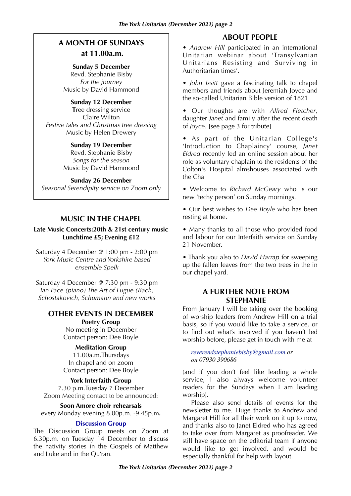# **A MONTH OF SUNDAYS at 11.00a.m.**

**Sunday 5 December** Revd. Stephanie Bisby *For the journey* Music by David Hammond

**Sunday 12 December T**ree dressing service Claire Wilton *Festive tales and Christmas tree dressing* Music by Helen Drewery

> **Sunday 19 December** Revd. Stephanie Bisby *Songs for the season* Music by David Hammond

#### **Sunday 26 December**

*Seasonal Serendipity service on Zoom only*

# **MUSIC IN THE CHAPEL**

#### **Late Music Concerts:20th & 21st century music Lunchtime £5; Evening £12**

Saturday 4 December @ 1:00 pm - 2:00 pm *York Music Centre and Yorkshire based ensemble Spelk*

Saturday 4 December @ 7:30 pm - 9:30 pm *Ian Pace (piano) The Art of Fugue (Bach, Schostakovich, Schumann and new works*

#### **OTHER EVENTS IN DECEMBER Poetry Group**

No meeting in December Contact person: Dee Boyle

**Meditation Group**

11.00a.m.Thursdays In chapel and on zoom Contact person: Dee Boyle

#### **York Interfaith Group**

7.30 p.m.Tuesday 7 December Zoom Meeting contact to be announced:

#### **Soon Amore choir rehearsals**

every Monday evening 8.00p.m. -9.45p.m**.**

#### **Discussion Group**

The Discussion Group meets on Zoom at 6.30p.m. on Tuesday 14 December to discuss the nativity stories in the Gospels of Matthew and Luke and in the Qu'ran.

# **ABOUT PEOPLE**

• *Andrew Hill* participated in an international Unitarian webinar about 'Transylvanian Unitarians Resisting and Surviving in Authoritarian times'.

• *John Issitt* gave a fascinating talk to chapel members and friends about Jeremiah Joyce and the so-called Unitarian Bible version of 1821

• Our thoughts are with *Alfred Fletcher*, daughter *Janet* and family after the recent death of *Joyce*. [see page 3 for tribute]

• As part of the Unitarian College's 'Introduction to Chaplaincy' course, *Janet Eldred* recently led an online session about her role as voluntary chaplain to the residents of the Colton's Hospital almshouses associated with the Cha

• Welcome to *Richard McGeary* who is our new 'techy person' on Sunday mornings.

• Our best wishes to *Dee Boyle* who has been resting at home.

• Many thanks to all those who provided food and labour for our Interfaith service on Sunday 21 November.

• Thank you also to *David Harrap* for sweeping up the fallen leaves from the two trees in the in our chapel yard.

# **A FURTHER NOTE FROM STEPHANIE**

From January I will be taking over the booking of worship leaders from Andrew Hill on a trial basis, so if you would like to take a service, or to find out what's involved if you haven't led worship before, please get in touch with me at

*[reverendstephaniebisby@gmail.com](mailto:reverendstephaniebisby@gmail.com) or on 07930 390686*

(and if you don't feel like leading a whole service, I also always welcome volunteer readers for the Sundays when I am leading worship).

Please also send details of events for the newsletter to me. Huge thanks to Andrew and Margaret Hill for all their work on it up to now, and thanks also to Janet Eldred who has agreed to take over from Margaret as proofreader. We still have space on the editorial team if anyone would like to get involved, and would be especially thankful for help with layout.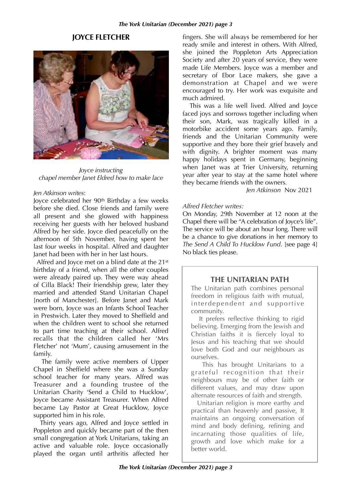# **JOYCE FLETCHER**



*Joyce instructing chapel member Janet Eldred how to make lace*

#### *Jen Atkinson writes*:

Joyce celebrated her 90th Birthday a few weeks before she died. Close friends and family were all present and she glowed with happiness receiving her guests with her beloved husband Alfred by her side. Joyce died peacefully on the afternoon of 5th November, having spent her last four weeks in hospital. Alfred and daughter Janet had been with her in her last hours.

 Alfred and Joyce met on a blind date at the 21st birthday of a friend, when all the other couples were already paired up. They were way ahead of Cilla Black! Their friendship grew, later they married and attended Stand Unitarian Chapel [north of Manchester]. Before Janet and Mark were born, Joyce was an Infants School Teacher in Prestwich. Later they moved to Sheffield and when the children went to school she returned to part time teaching at their school. Alfred recalls that the children called her 'Mrs Fletcher' not 'Mum', causing amusement in the family.

 The family were active members of Upper Chapel in Sheffield where she was a Sunday school teacher for many years. Alfred was Treasurer and a founding trustee of the Unitarian Charity 'Send a Child to Hucklow', Joyce became Assistant Treasurer. When Alfred became Lay Pastor at Great Hucklow, Joyce supported him in his role.

 Thirty years ago, Alfred and Joyce settled in Poppleton and quickly became part of the then small congregation at York Unitarians, taking an active and valuable role. Joyce occasionally played the organ until arthritis affected her

fingers. She will always be remembered for her ready smile and interest in others. With Alfred, she joined the Poppleton Arts Appreciation Society and after 20 years of service, they were made Life Members. Joyce was a member and secretary of Ebor Lace makers, she gave a demonstration at Chapel and we were encouraged to try. Her work was exquisite and much admired.

 This was a life well lived. Alfred and Joyce faced joys and sorrows together including when their son, Mark, was tragically killed in a motorbike accident some years ago. Family, friends and the Unitarian Community were supportive and they bore their grief bravely and with dignity. A brighter moment was many happy holidays spent in Germany, beginning when Janet was at Trier University, returning year after year to stay at the same hotel where they became friends with the owners*.*

 *Jen Atkinson* Nov 2021

#### *Alfred Fletcher writes:*

On Monday, 29th November at 12 noon at the Chapel there will be "A celebration of Joyce's life". The service will be about an hour long. There will be a chance to give donations in her memory to *The Send A Child To Hucklow Fund*. [see page 4] No black ties please.

# **THE UNITARIAN PATH**

The Unitarian path combines personal freedom in religious faith with mutual, interdependent and supportive community.

It prefers reflective thinking to rigid<br>believing. Emerging from the lewish and Christian faiths it is fiercely loval to Jesus and his teaching that we should love both God and our neighbours as ourselves.

 This has brought Unitarians to a grateful recognition that their neighbours may be of other faith or different values, and may draw upon alternate resources of faith and strength.

 Unitarian religion is more earthy and practical than heavenly and passive, It maintains an ongoing conversation of mind and body defining, refining and incarnating those qualities of life, growth and love which make for a better world.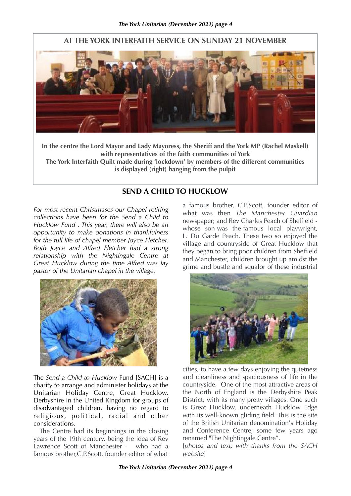# **AT THE YORK INTERFAITH SERVICE ON SUNDAY 21 NOVEMBER**



**In the centre the Lord Mayor and Lady Mayoress, the Sheriff and the York MP (Rachel Maskell) with representatives of the faith communities of York The York Interfaith Quilt made during 'lockdown' by members of the different communities**

**is displayed (right) hanging from the pulpit**

# **SEND A CHILD TO HUCKLOW**

*For most recent Christmases our Chapel retiring collections have been for the Send a Child to Hucklow Fund . This year, there will also be an opportunity to make donations in thankfulness for the full life of chapel member Joyce Fletcher. Both Joyce and Alfred Fletcher had a strong relationship with the Nightingale Centre at Great Hucklow during the time Alfred was lay pastor of the Unitarian chapel in the village.*



The *Send a Child to Hucklow* Fund [SACH] is a charity to arrange and administer holidays at the Unitarian Holiday Centre, Great Hucklow, Derbyshire in the United Kingdom for groups of disadvantaged children, having no regard to religious, political, racial and other considerations.

 The Centre had its beginnings in the closing years of the 19th century, being the idea of Rev Lawrence Scott of Manchester - who had a famous brother,C.P.Scott, founder editor of what

a famous brother, C.P.Scott, founder editor of what was then *The Manchester Guardian* newspaper; and Rev Charles Peach of Sheffield whose son was the famous local playwright, L. Du Garde Peach. These two so enjoyed the village and countryside of Great Hucklow that they began to bring poor children from Sheffield and Manchester, children brought up amidst the grime and bustle and squalor of these industrial



cities, to have a few days enjoying the quietness and cleanliness and spaciousness of life in the countryside. One of the most attractive areas of the North of England is the Derbyshire Peak District, with its many pretty villages. One such is Great Hucklow, underneath Hucklow Edge with its well-known gliding field. This is the site of the British Unitarian denomination's Holiday and Conference Centre; some few years ago renamed "The Nightingale Centre".

[*photos and text, with thanks from the SACH website*]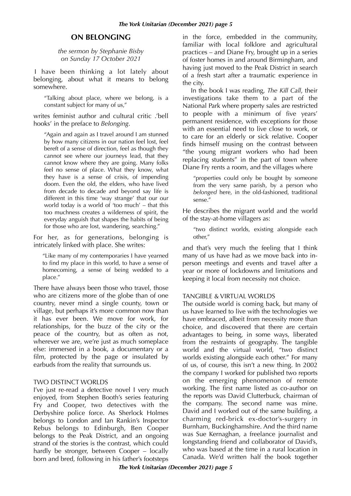## **ON BELONGING**

*the sermon by Stephanie Bisby on Sunday 17 October 2021*

I have been thinking a lot lately about belonging, about what it means to belong somewhere.

"Talking about place, where we belong, is a constant subject for many of us,"

writes feminist author and cultural critic .'bell hooks' in the preface to *Belonging*.

"Again and again as I travel around I am stunned by how many citizens in our nation feel lost, feel bereft of a sense of direction, feel as though they cannot see where our journeys lead, that they cannot know where they are going. Many folks feel no sense of place. What they know, what they have is a sense of crisis, of impending doom. Even the old, the elders, who have lived from decade to decade and beyond say life is different in this time 'way strange' that our our world today is a world of 'too much' – that this too muchness creates a wilderness of spirit, the everyday anguish that shapes the habits of being for those who are lost, wandering, searching."

For her, as for generations, belonging is intricately linked with place. She writes:

"Like many of my contemporaries I have yearned to find my place in this world, to have a sense of homecoming, a sense of being wedded to a place."

There have always been those who travel, those who are citizens more of the globe than of one country, never mind a single county, town or village, but perhaps it's more common now than it has ever been. We move for work, for relationships, for the buzz of the city or the peace of the country, but as often as not, wherever we are, we're just as much someplace else: immersed in a book, a documentary or a film, protected by the page or insulated by earbuds from the reality that surrounds us.

#### TWO DISTINCT WORLDS

I've just re-read a detective novel I very much enjoyed, from Stephen Booth's series featuring Fry and Cooper, two detectives with the Derbyshire police force. As Sherlock Holmes belongs to London and Ian Rankin's Inspector Rebus belongs to Edinburgh, Ben Cooper belongs to the Peak District, and an ongoing strand of the stories is the contrast, which could hardly be stronger, between Cooper – locally born and bred, following in his father's footsteps

in the force, embedded in the community, familiar with local folklore and agricultural practices – and Diane Fry, brought up in a series of foster homes in and around Birmingham, and having just moved to the Peak District in search of a fresh start after a traumatic experience in the city.

In the book I was reading, *The Kill Call*, their investigations take them to a part of the National Park where property sales are restricted to people with a minimum of five years' permanent residence, with exceptions for those with an essential need to live close to work, or to care for an elderly or sick relative. Cooper finds himself musing on the contrast between "the young migrant workers who had been replacing students" in the part of town where Diane Fry rents a room, and the villages where

"properties could only be bought by someone from the very same parish, by a person who *belonged* here, in the old-fashioned, traditional sense."

He describes the migrant world and the world of the stay-at-home villagers as:

"two distinct worlds, existing alongside each other,"

and that's very much the feeling that I think many of us have had as we move back into inperson meetings and events and travel after a year or more of lockdowns and limitations and keeping it local from necessity not choice.

#### TANGIBLE & VIRTUAL WORLDS

The outside world is coming back, but many of us have learned to live with the technologies we have embraced, albeit from necessity more than choice, and discovered that there are certain advantages to being, in some ways, liberated from the restraints of geography. The tangible world and the virtual world, "two distinct worlds existing alongside each other." For many of us, of course, this isn't a new thing. In 2002 the company I worked for published two reports on the emerging phenomenon of remote working. The first name listed as co-author on the reports was David Clutterbuck, chairman of the company. The second name was mine. David and I worked out of the same building, a charming red-brick ex-doctor's-surgery in Burnham, Buckinghamshire. And the third name was Sue Kernaghan, a freelance journalist and longstanding friend and collaborator of David's, who was based at the time in a rural location in Canada. We'd written half the book together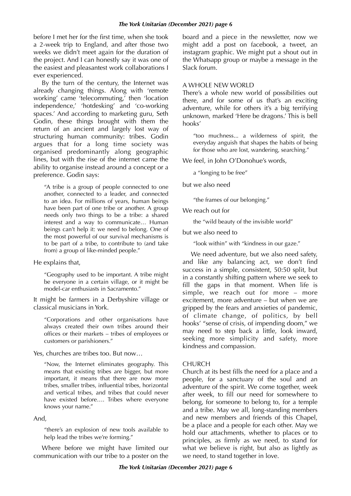before I met her for the first time, when she took a 2-week trip to England, and after those two weeks we didn't meet again for the duration of the project. And I can honestly say it was one of the easiest and pleasantest work collaborations I ever experienced.

By the turn of the century, the Internet was already changing things. Along with 'remote working' came 'telecommuting,' then 'location independence,' 'hotdesking' and 'co-working spaces.' And according to marketing guru, Seth Godin, these things brought with them the return of an ancient and largely lost way of structuring human community: tribes. Godin argues that for a long time society was organised predominantly along geographic lines, but with the rise of the internet came the ability to organise instead around a concept or a preference. Godin says:

"A tribe is a group of people connected to one another, connected to a leader, and connected to an idea. For millions of years, human beings have been part of one tribe or another. A group needs only two things to be a tribe: a shared interest and a way to communicate… Human beings can't help it: we need to belong. One of the most powerful of our survival mechanisms is to be part of a tribe, to contribute to (and take from) a group of like-minded people."

He explains that,

"Geography used to be important. A tribe might be everyone in a certain village, or it might be model-car enthusiasts in Sacramento."

It might be farmers in a Derbyshire village or classical musicians in York.

"Corporations and other organisations have always created their own tribes around their offices or their markets – tribes of employees or customers or parishioners."

Yes, churches are tribes too. But now…

"Now, the Internet eliminates geography. This means that existing tribes are bigger, but more important, it means that there are now more tribes, smaller tribes, influential tribes, horizontal and vertical tribes, and tribes that could never have existed before…. Tribes where everyone knows your name."

And,

"there's an explosion of new tools available to help lead the tribes we're forming."

Where before we might have limited our communication with our tribe to a poster on the board and a piece in the newsletter, now we might add a post on facebook, a tweet, an instagram graphic. We might put a shout out in the Whatsapp group or maybe a message in the Slack forum.

#### A WHOLE NEW WORLD

There's a whole new world of possibilities out there, and for some of us that's an exciting adventure, while for others it's a big terrifying unknown, marked 'Here be dragons.' This is bell hooks'

"too muchness... a wilderness of spirit, the everyday anguish that shapes the habits of being for those who are lost, wandering, searching."

We feel, in John O'Donohue's words,

a "longing to be free"

but we also need

"the frames of our belonging."

We reach out for

the "wild beauty of the invisible world"

but we also need to

"look within" with "kindness in our gaze."

We need adventure, but we also need safety, and like any balancing act, we don't find success in a simple, consistent, 50:50 split, but in a constantly shifting pattern where we seek to fill the gaps in that moment. When life is simple, we reach out for more – more excitement, more adventure – but when we are gripped by the fears and anxieties of pandemic, of climate change, of politics, by bell hooks' "sense of crisis, of impending doom," we may need to step back a little, look inward, seeking more simplicity and safety, more kindness and compassion.

#### **CHURCH**

Church at its best fills the need for a place and a people, for a sanctuary of the soul and an adventure of the spirit. We come together, week after week, to fill our need for somewhere to belong, for someone to belong to, for a temple and a tribe. May we all, long-standing members and new members and friends of this Chapel, be a place and a people for each other. May we hold our attachments, whether to places or to principles, as firmly as we need, to stand for what we believe is right, but also as lightly as we need, to stand together in love.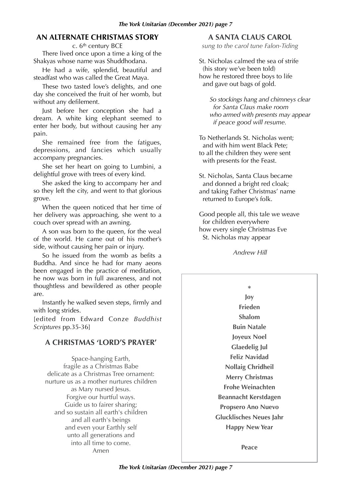# **AN ALTERNATE CHRISTMAS STORY**

c. 6th century BCE

There lived once upon a time a king of the Shakyas whose name was Shuddhodana.

He had a wife, splendid, beautiful and steadfast who was called the Great Maya.

These two tasted love's delights, and one day she conceived the fruit of her womb, but without any defilement.

Just before her conception she had a dream. A white king elephant seemed to enter her body, but without causing her any pain.

She remained free from the fatigues, depressions, and fancies which usually accompany pregnancies.

She set her heart on going to Lumbini, a delightful grove with trees of every kind.

She asked the king to accompany her and so they left the city, and went to that glorious grove.

When the queen noticed that her time of her delivery was approaching, she went to a couch over spread with an awning.

A son was born to the queen, for the weal of the world. He came out of his mother's side, without causing her pain or injury.

So he issued from the womb as befits a Buddha. And since he had for many aeons been engaged in the practice of meditation, he now was born in full awareness, and not thoughtless and bewildered as other people are.

Instantly he walked seven steps, firmly and with long strides.

[edited from Edward Conze *Buddhist Scriptures* pp.35-36]

# **A CHRISTMAS 'LORD'S PRAYER'**

Space-hanging Earth, fragile as a Christmas Babe delicate as a Christmas Tree ornament: nurture us as a mother nurtures children as Mary nursed Jesus. Forgive our hurtful ways. Guide us to fairer sharing; and so sustain all earth's children and all earth's beings and even your Earthly self unto all generations and into all time to come. Amen

# **A SANTA CLAUS CAROL**

*sung to the carol tune Falon-Tiding*

St. Nicholas calmed the sea of strife (his story we've been told) how he restored three boys to life and gave out bags of gold.

*So stockings hang and chimneys clear for Santa Claus make room who armed with presents may appear if peace good will resume.*

To Netherlands St. Nicholas went; and with him went Black Pete; to all the children they were sent with presents for the Feast.

St. Nicholas, Santa Claus became and donned a bright red cloak; and taking Father Christmas' name returned to Europe's folk.

Good people all, this tale we weave for children everywhere how every single Christmas Eve St. Nicholas may appear

*Andrew Hill* 

**\* Joy Frieden Shalom Buin Natale Joyeux Noel Glaedelig Jul Feliz Navidad Nollaig Chridheil Merry Christmas Frohe Weinachten Beannacht Kerstdagen Propsero Ano Nuevo Glucklisches Neues Jahr Happy New Year**

**Peace**